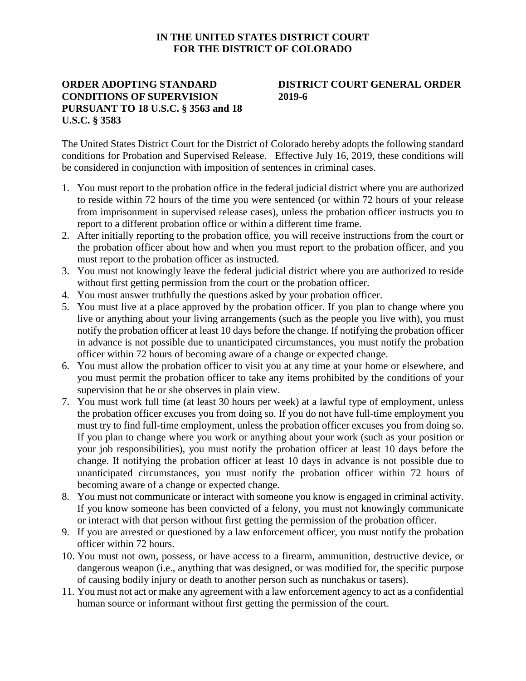## **IN THE UNITED STATES DISTRICT COURT FOR THE DISTRICT OF COLORADO**

## **ORDER ADOPTING STANDARD CONDITIONS OF SUPERVISION PURSUANT TO 18 U.S.C. § 3563 and 18 U.S.C. § 3583**

## **DISTRICT COURT GENERAL ORDER 2019-6**

The United States District Court for the District of Colorado hereby adopts the following standard conditions for Probation and Supervised Release. Effective July 16, 2019, these conditions will be considered in conjunction with imposition of sentences in criminal cases.

- 1. You must report to the probation office in the federal judicial district where you are authorized to reside within 72 hours of the time you were sentenced (or within 72 hours of your release from imprisonment in supervised release cases), unless the probation officer instructs you to report to a different probation office or within a different time frame.
- 2. After initially reporting to the probation office, you will receive instructions from the court or the probation officer about how and when you must report to the probation officer, and you must report to the probation officer as instructed.
- 3. You must not knowingly leave the federal judicial district where you are authorized to reside without first getting permission from the court or the probation officer.
- 4. You must answer truthfully the questions asked by your probation officer.
- 5. You must live at a place approved by the probation officer. If you plan to change where you live or anything about your living arrangements (such as the people you live with), you must notify the probation officer at least 10 days before the change. If notifying the probation officer in advance is not possible due to unanticipated circumstances, you must notify the probation officer within 72 hours of becoming aware of a change or expected change.
- 6. You must allow the probation officer to visit you at any time at your home or elsewhere, and you must permit the probation officer to take any items prohibited by the conditions of your supervision that he or she observes in plain view.
- 7. You must work full time (at least 30 hours per week) at a lawful type of employment, unless the probation officer excuses you from doing so. If you do not have full-time employment you must try to find full-time employment, unless the probation officer excuses you from doing so. If you plan to change where you work or anything about your work (such as your position or your job responsibilities), you must notify the probation officer at least 10 days before the change. If notifying the probation officer at least 10 days in advance is not possible due to unanticipated circumstances, you must notify the probation officer within 72 hours of becoming aware of a change or expected change.
- 8. You must not communicate or interact with someone you know is engaged in criminal activity. If you know someone has been convicted of a felony, you must not knowingly communicate or interact with that person without first getting the permission of the probation officer.
- 9. If you are arrested or questioned by a law enforcement officer, you must notify the probation officer within 72 hours.
- 10. You must not own, possess, or have access to a firearm, ammunition, destructive device, or dangerous weapon (i.e., anything that was designed, or was modified for, the specific purpose of causing bodily injury or death to another person such as nunchakus or tasers).
- 11. You must not act or make any agreement with a law enforcement agency to act as a confidential human source or informant without first getting the permission of the court.